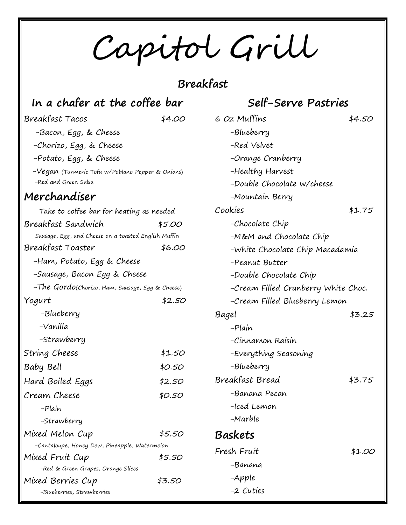Capitol Grill

## **Breakfast**

#### **In a chafer at the coffee bar**

#### Breakfast Tacos \$4.00

 -Bacon, Egg, & Cheese -Chorizo, Egg, & Cheese -Potato, Egg, & Cheese -Vegan (Turmeric Tofu w/Poblano Pepper & Onions) -Red and Green Salsa **Merchandiser** Take to coffee bar for heating as needed

| Breakfast Sandwich                                   | \$5.00 |
|------------------------------------------------------|--------|
| Sausage, Egg, and Cheese on a toasted English Muffin |        |
| Breakfast Toaster                                    | \$6.00 |
| -Ham, Potato, Egg & Cheese                           |        |
| -Sausage, Bacon Egg & Cheese                         |        |
| -The Gordo(Chorizo, Ham, Sausage, Egg & Cheese)      |        |
| Yogurt                                               | \$2.50 |
| –Blueberry                                           |        |
| -Vanilla                                             |        |
| -Strawberry                                          |        |
| String Cheese                                        | \$1.50 |
| Baby Bell                                            | \$0.50 |
| Hard Boiled Eggs                                     | \$2.50 |
| Cream Cheese                                         | \$0.50 |
| -Plain                                               |        |
| -Strawberry                                          |        |
| Mixed Melon Cup                                      | \$5.50 |
| -Cantaloupe, Honey Dew, Pineapple, Watermelon        |        |
| Mixed Fruit Cup                                      | \$5.50 |
| -Red & Green Grapes, Orange Slices                   |        |
| Mixed Berries Cup                                    | \$3.50 |
| -Blueberries, Strawberries                           |        |

### **Self-Serve Pastries**

| 6 Oz Muffins                        | \$4.50 |
|-------------------------------------|--------|
| –Blueberry                          |        |
| -Red Velvet                         |        |
| -Orange Cranberry                   |        |
| -Healthy Harvest                    |        |
| -Double Chocolate w/cheese          |        |
| -Mountain Berry                     |        |
| Cookies                             | \$1.75 |
| -Chocolate Chip                     |        |
| -M&M and Chocolate Chip             |        |
| -White Chocolate Chip Macadamia     |        |
| -Peanut Butter                      |        |
| -Double Chocolate Chip              |        |
| -Cream Filled Cranberry White Choc. |        |
| -Cream Filled Blueberry Lemon       |        |
| Bagel                               | \$3.25 |
| -Plain                              |        |
| -Cinnamon Raisin                    |        |
| -Everything Seasoning               |        |
| –Blueberry                          |        |
| Breakfast Bread                     | \$3.75 |
| -Banana Pecan                       |        |
| -Iced Lemon                         |        |
| -Marble                             |        |
| Baskets                             |        |
| Fresh Fruit                         | \$1.00 |
| -Banana                             |        |
| -Apple                              |        |
| -2 Cuties                           |        |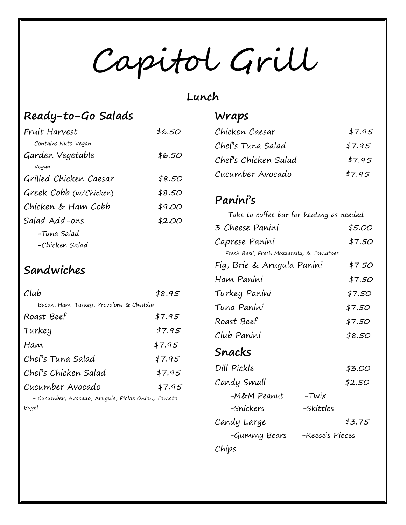Capitol Grill

#### **Lunch**

## **Ready-to-Go Salads**

| Fruit Harvest          | \$6.50 |
|------------------------|--------|
| Contains Nuts. Vegan   |        |
| Garden Vegetable       | \$6.50 |
| Vegan                  |        |
| Grilled Chicken Caesar | \$8.50 |
| Greek Cobb (w/Chicken) | \$8.50 |
| Chicken & Ham Cobb     | \$9.00 |
| Salad Add-ons          | \$2.00 |
| -Tuna Salad            |        |
| -Chicken Salad         |        |

# **Sandwiches**

| Club                                               | \$8.95 |
|----------------------------------------------------|--------|
| Bacon, Ham, Turkey, Provolone & Cheddar            |        |
| Roast Beef                                         | \$7.95 |
| Turkey                                             | \$7.95 |
| Ham                                                | \$7.95 |
| Chef's Tuna Salad                                  | \$7.95 |
| Chef's Chicken Salad                               | \$7.95 |
| Cucumber Avocado                                   | \$7.95 |
| - Cucumber, Avocado, Arugula, Pickle Onion, Tomato |        |

uaula, Pickle C Bagel

### **Wraps**

| Chicken Caesar       | \$7.95 |
|----------------------|--------|
| Chef's Tuna Salad    | \$7.95 |
| Chef's Chicken Salad | \$7.95 |
| Cucumber Avocado     | \$7.95 |

#### **Panini's**

| Take to coffee bar for heating as needed  |                 |        |
|-------------------------------------------|-----------------|--------|
| 3 Cheese Panini                           |                 | \$5.00 |
| Caprese Panini                            |                 | \$7.50 |
| Fresh Basil, Fresh Mozzarella, & Tomatoes |                 |        |
| Fig, Brie & Arugula Panini                |                 | \$7.50 |
| Ham Panini                                |                 | \$7.50 |
| Turkey Panini                             |                 | \$7.50 |
| Tuna Panini                               |                 | \$7.50 |
| Roast Beef                                |                 | \$7.50 |
| Club Panini                               |                 | \$8.50 |
| Snacks                                    |                 |        |
| Dill Pickle                               |                 | \$3.00 |
| Candy Small                               |                 | \$2.50 |
| -M&M Peanut                               | -Twix           |        |
| -Snickers                                 | –Skittles       |        |
| Candy Large                               |                 | \$3.75 |
| -Gummy Bears                              | -Reese's Pieces |        |
| Chips                                     |                 |        |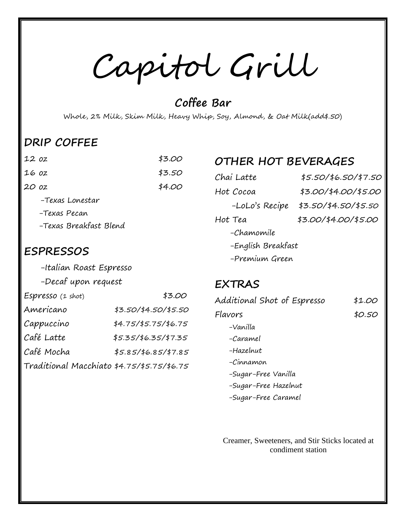Capitol Grill

**Coffee Bar**

Whole, 2% Milk, Skim Milk, Heavy Whip, Soy, Almond, & Oat Milk(add\$.50)

### **DRIP COFFEE**

| 12 oz                  | \$3.00 |
|------------------------|--------|
| 16 oz                  | \$3.50 |
| 20 oz                  | \$4.00 |
| -Texas Lonestar        |        |
| -Texas Pecan           |        |
| -Texas Breakfast Blend |        |
|                        |        |

#### **ESPRESSOS**

-Italian Roast Espresso

|  |  | -Decaf upon request |  |
|--|--|---------------------|--|
|--|--|---------------------|--|

| Espresso (1 shot)                          | \$3.00               |
|--------------------------------------------|----------------------|
| Americano                                  | \$3.50/\$4.50/\$5.50 |
| Cappuccino                                 | \$4.75/\$5.75/\$6.75 |
| Café Latte                                 | \$5.35/\$6.35/\$7.35 |
| Café Mocha                                 | \$5.85/\$6.85/\$7.85 |
| Traditional Macchiato \$4.75/\$5.75/\$6.75 |                      |

#### **OTHER HOT BEVERAGES**

| Chai Latte         | \$5.50/\$6.50/\$7.50 |
|--------------------|----------------------|
| Hot Cocoa          | \$3.00/\$4.00/\$5.00 |
| -LoLo's Recipe     | \$3.50/\$4.50/\$5.50 |
| Hot Tea            | \$3.00/\$4.00/\$5.00 |
| -Chamomile         |                      |
| -English Breakfast |                      |
| -Premium Green     |                      |

#### **EXTRAS**

| Additional Shot of Espresso | \$1.00 |
|-----------------------------|--------|
| Flavors                     | \$0.50 |
| –Vanilla                    |        |
| -Caramel                    |        |
| -Hazelnut                   |        |
| -Cinnamon                   |        |
| -Sugar-Free Vanilla         |        |
| -Sugar-Free Hazelnut        |        |
| -Sugar-Free Caramel         |        |

Creamer, Sweeteners, and Stir Sticks located at condiment station